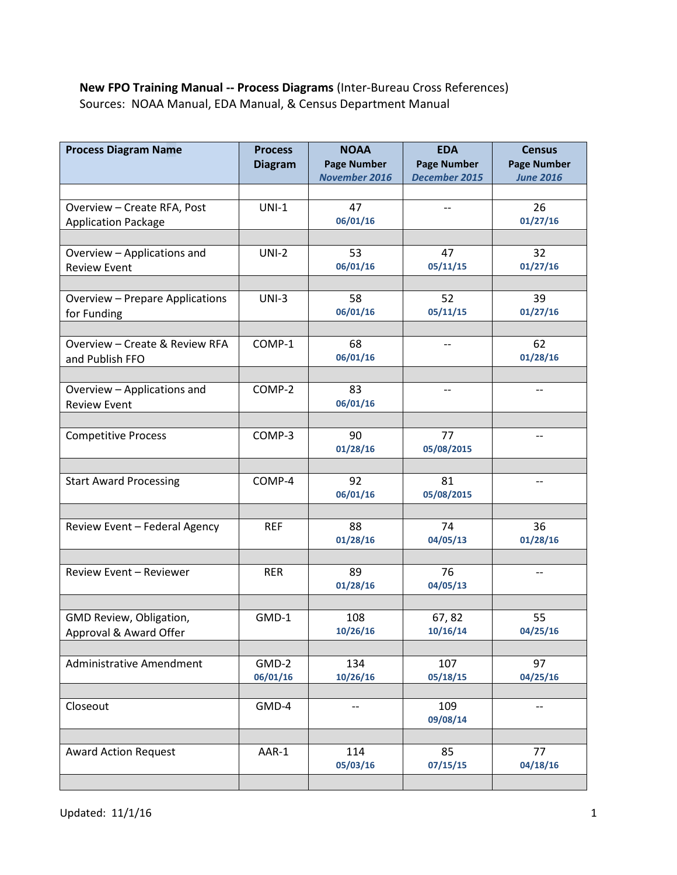## **New FPO Training Manual -- Process Diagrams** (Inter-Bureau Cross References) Sources: NOAA Manual, EDA Manual, & Census Department Manual

| <b>Process Diagram Name</b>                               | <b>Process</b><br><b>Diagram</b> | <b>NOAA</b><br><b>Page Number</b><br><b>November 2016</b> | <b>EDA</b><br><b>Page Number</b><br>December 2015 | <b>Census</b><br><b>Page Number</b><br><b>June 2016</b> |
|-----------------------------------------------------------|----------------------------------|-----------------------------------------------------------|---------------------------------------------------|---------------------------------------------------------|
|                                                           |                                  |                                                           |                                                   |                                                         |
| Overview - Create RFA, Post<br><b>Application Package</b> | $UNI-1$                          | 47<br>06/01/16                                            | $\overline{\phantom{a}}$                          | 26<br>01/27/16                                          |
|                                                           |                                  |                                                           |                                                   |                                                         |
| Overview - Applications and<br><b>Review Event</b>        | $UNI-2$                          | 53<br>06/01/16                                            | 47<br>05/11/15                                    | 32<br>01/27/16                                          |
|                                                           |                                  |                                                           |                                                   |                                                         |
| Overview - Prepare Applications<br>for Funding            | $UNI-3$                          | 58<br>06/01/16                                            | 52<br>05/11/15                                    | 39<br>01/27/16                                          |
|                                                           |                                  |                                                           |                                                   |                                                         |
| Overview - Create & Review RFA<br>and Publish FFO         | COMP-1                           | 68<br>06/01/16                                            | --                                                | 62<br>01/28/16                                          |
|                                                           |                                  |                                                           |                                                   |                                                         |
| Overview - Applications and<br><b>Review Event</b>        | COMP-2                           | 83<br>06/01/16                                            | $-$                                               | $-$                                                     |
|                                                           |                                  |                                                           |                                                   |                                                         |
| <b>Competitive Process</b>                                | COMP-3                           | 90<br>01/28/16                                            | 77<br>05/08/2015                                  | --                                                      |
|                                                           |                                  |                                                           |                                                   |                                                         |
| <b>Start Award Processing</b>                             | COMP-4                           | 92<br>06/01/16                                            | 81<br>05/08/2015                                  | --                                                      |
|                                                           |                                  |                                                           |                                                   |                                                         |
| Review Event - Federal Agency                             | <b>REF</b>                       | 88<br>01/28/16                                            | 74<br>04/05/13                                    | 36<br>01/28/16                                          |
|                                                           |                                  |                                                           |                                                   |                                                         |
| <b>Review Event - Reviewer</b>                            | <b>RER</b>                       | 89<br>01/28/16                                            | 76<br>04/05/13                                    | --                                                      |
|                                                           |                                  |                                                           |                                                   |                                                         |
| GMD Review, Obligation,<br>Approval & Award Offer         | GMD-1                            | 108<br>10/26/16                                           | 67,82<br>10/16/14                                 | 55<br>04/25/16                                          |
|                                                           |                                  |                                                           |                                                   |                                                         |
| <b>Administrative Amendment</b>                           | GMD-2<br>06/01/16                | 134<br>10/26/16                                           | 107<br>05/18/15                                   | 97<br>04/25/16                                          |
|                                                           |                                  |                                                           |                                                   |                                                         |
| Closeout                                                  | GMD-4                            | $-$                                                       | 109<br>09/08/14                                   | $-$                                                     |
|                                                           |                                  |                                                           |                                                   |                                                         |
| <b>Award Action Request</b>                               | AAR-1                            | 114<br>05/03/16                                           | 85<br>07/15/15                                    | 77<br>04/18/16                                          |
|                                                           |                                  |                                                           |                                                   |                                                         |